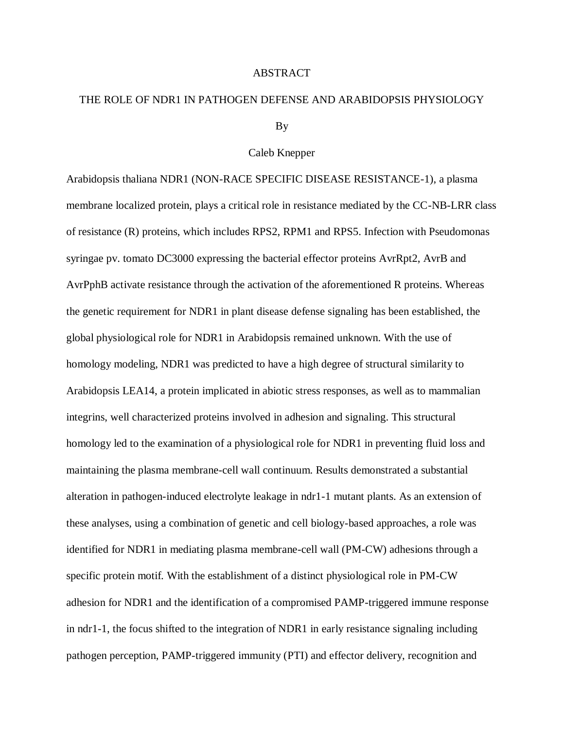## ABSTRACT

## THE ROLE OF NDR1 IN PATHOGEN DEFENSE AND ARABIDOPSIS PHYSIOLOGY

## By

## Caleb Knepper

Arabidopsis thaliana NDR1 (NON-RACE SPECIFIC DISEASE RESISTANCE-1), a plasma membrane localized protein, plays a critical role in resistance mediated by the CC-NB-LRR class of resistance (R) proteins, which includes RPS2, RPM1 and RPS5. Infection with Pseudomonas syringae pv. tomato DC3000 expressing the bacterial effector proteins AvrRpt2, AvrB and AvrPphB activate resistance through the activation of the aforementioned R proteins. Whereas the genetic requirement for NDR1 in plant disease defense signaling has been established, the global physiological role for NDR1 in Arabidopsis remained unknown. With the use of homology modeling, NDR1 was predicted to have a high degree of structural similarity to Arabidopsis LEA14, a protein implicated in abiotic stress responses, as well as to mammalian integrins, well characterized proteins involved in adhesion and signaling. This structural homology led to the examination of a physiological role for NDR1 in preventing fluid loss and maintaining the plasma membrane-cell wall continuum. Results demonstrated a substantial alteration in pathogen-induced electrolyte leakage in ndr1-1 mutant plants. As an extension of these analyses, using a combination of genetic and cell biology-based approaches, a role was identified for NDR1 in mediating plasma membrane-cell wall (PM-CW) adhesions through a specific protein motif. With the establishment of a distinct physiological role in PM-CW adhesion for NDR1 and the identification of a compromised PAMP-triggered immune response in ndr1-1, the focus shifted to the integration of NDR1 in early resistance signaling including pathogen perception, PAMP-triggered immunity (PTI) and effector delivery, recognition and